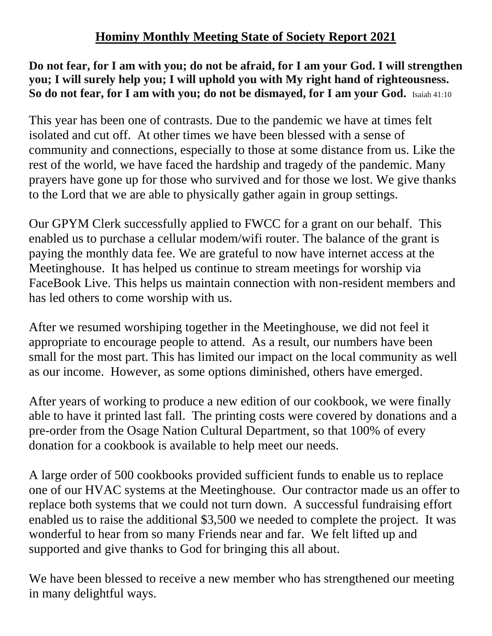## **Hominy Monthly Meeting State of Society Report 2021**

## **Do not fear, for I am with you; do not be afraid, for I am your God. I will strengthen you; I will surely help you; I will uphold you with My right hand of righteousness. So do not fear, for I am with you; do not be dismayed, for I am your God.** Isaiah 41:10

This year has been one of contrasts. Due to the pandemic we have at times felt isolated and cut off. At other times we have been blessed with a sense of community and connections, especially to those at some distance from us. Like the rest of the world, we have faced the hardship and tragedy of the pandemic. Many prayers have gone up for those who survived and for those we lost. We give thanks to the Lord that we are able to physically gather again in group settings.

Our GPYM Clerk successfully applied to FWCC for a grant on our behalf. This enabled us to purchase a cellular modem/wifi router. The balance of the grant is paying the monthly data fee. We are grateful to now have internet access at the Meetinghouse. It has helped us continue to stream meetings for worship via FaceBook Live. This helps us maintain connection with non-resident members and has led others to come worship with us.

After we resumed worshiping together in the Meetinghouse, we did not feel it appropriate to encourage people to attend. As a result, our numbers have been small for the most part. This has limited our impact on the local community as well as our income. However, as some options diminished, others have emerged.

After years of working to produce a new edition of our cookbook, we were finally able to have it printed last fall. The printing costs were covered by donations and a pre-order from the Osage Nation Cultural Department, so that 100% of every donation for a cookbook is available to help meet our needs.

A large order of 500 cookbooks provided sufficient funds to enable us to replace one of our HVAC systems at the Meetinghouse. Our contractor made us an offer to replace both systems that we could not turn down. A successful fundraising effort enabled us to raise the additional \$3,500 we needed to complete the project. It was wonderful to hear from so many Friends near and far. We felt lifted up and supported and give thanks to God for bringing this all about.

We have been blessed to receive a new member who has strengthened our meeting in many delightful ways.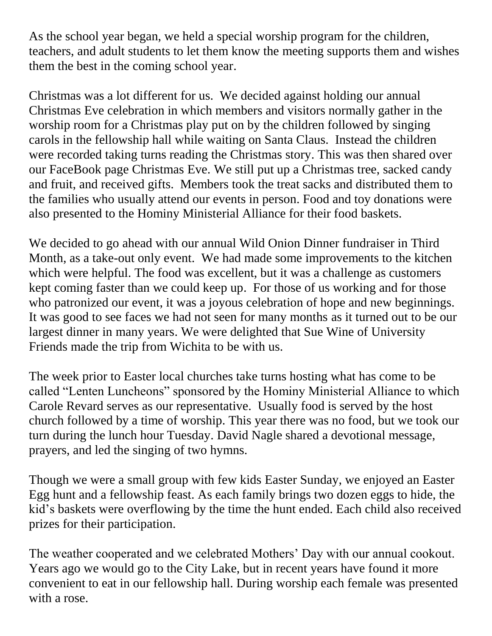As the school year began, we held a special worship program for the children, teachers, and adult students to let them know the meeting supports them and wishes them the best in the coming school year.

Christmas was a lot different for us. We decided against holding our annual Christmas Eve celebration in which members and visitors normally gather in the worship room for a Christmas play put on by the children followed by singing carols in the fellowship hall while waiting on Santa Claus. Instead the children were recorded taking turns reading the Christmas story. This was then shared over our FaceBook page Christmas Eve. We still put up a Christmas tree, sacked candy and fruit, and received gifts. Members took the treat sacks and distributed them to the families who usually attend our events in person. Food and toy donations were also presented to the Hominy Ministerial Alliance for their food baskets.

We decided to go ahead with our annual Wild Onion Dinner fundraiser in Third Month, as a take-out only event. We had made some improvements to the kitchen which were helpful. The food was excellent, but it was a challenge as customers kept coming faster than we could keep up. For those of us working and for those who patronized our event, it was a joyous celebration of hope and new beginnings. It was good to see faces we had not seen for many months as it turned out to be our largest dinner in many years. We were delighted that Sue Wine of University Friends made the trip from Wichita to be with us.

The week prior to Easter local churches take turns hosting what has come to be called "Lenten Luncheons" sponsored by the Hominy Ministerial Alliance to which Carole Revard serves as our representative. Usually food is served by the host church followed by a time of worship. This year there was no food, but we took our turn during the lunch hour Tuesday. David Nagle shared a devotional message, prayers, and led the singing of two hymns.

Though we were a small group with few kids Easter Sunday, we enjoyed an Easter Egg hunt and a fellowship feast. As each family brings two dozen eggs to hide, the kid's baskets were overflowing by the time the hunt ended. Each child also received prizes for their participation.

The weather cooperated and we celebrated Mothers' Day with our annual cookout. Years ago we would go to the City Lake, but in recent years have found it more convenient to eat in our fellowship hall. During worship each female was presented with a rose.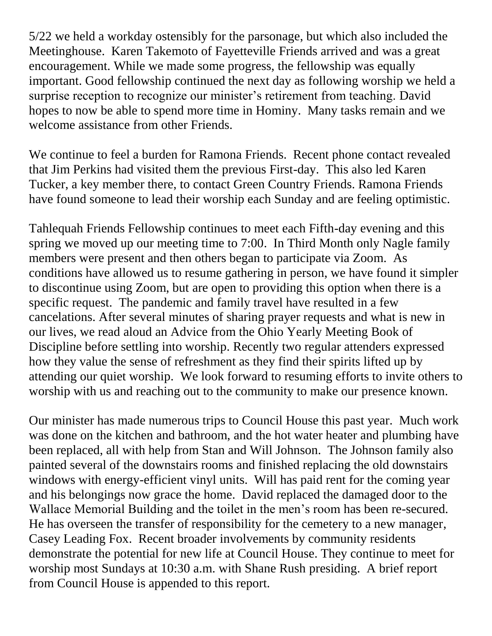5/22 we held a workday ostensibly for the parsonage, but which also included the Meetinghouse. Karen Takemoto of Fayetteville Friends arrived and was a great encouragement. While we made some progress, the fellowship was equally important. Good fellowship continued the next day as following worship we held a surprise reception to recognize our minister's retirement from teaching. David hopes to now be able to spend more time in Hominy. Many tasks remain and we welcome assistance from other Friends.

We continue to feel a burden for Ramona Friends. Recent phone contact revealed that Jim Perkins had visited them the previous First-day. This also led Karen Tucker, a key member there, to contact Green Country Friends. Ramona Friends have found someone to lead their worship each Sunday and are feeling optimistic.

Tahlequah Friends Fellowship continues to meet each Fifth-day evening and this spring we moved up our meeting time to 7:00. In Third Month only Nagle family members were present and then others began to participate via Zoom. As conditions have allowed us to resume gathering in person, we have found it simpler to discontinue using Zoom, but are open to providing this option when there is a specific request. The pandemic and family travel have resulted in a few cancelations. After several minutes of sharing prayer requests and what is new in our lives, we read aloud an Advice from the Ohio Yearly Meeting Book of Discipline before settling into worship. Recently two regular attenders expressed how they value the sense of refreshment as they find their spirits lifted up by attending our quiet worship. We look forward to resuming efforts to invite others to worship with us and reaching out to the community to make our presence known.

Our minister has made numerous trips to Council House this past year. Much work was done on the kitchen and bathroom, and the hot water heater and plumbing have been replaced, all with help from Stan and Will Johnson. The Johnson family also painted several of the downstairs rooms and finished replacing the old downstairs windows with energy-efficient vinyl units. Will has paid rent for the coming year and his belongings now grace the home. David replaced the damaged door to the Wallace Memorial Building and the toilet in the men's room has been re-secured. He has overseen the transfer of responsibility for the cemetery to a new manager, Casey Leading Fox. Recent broader involvements by community residents demonstrate the potential for new life at Council House. They continue to meet for worship most Sundays at 10:30 a.m. with Shane Rush presiding. A brief report from Council House is appended to this report.